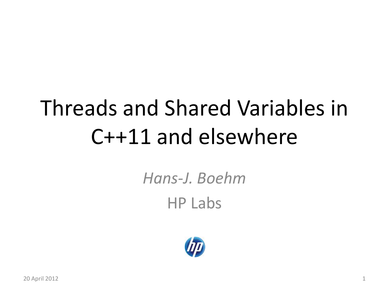# Threads and Shared Variables in C++11 and elsewhere

*Hans-J. Boehm* HP Labs

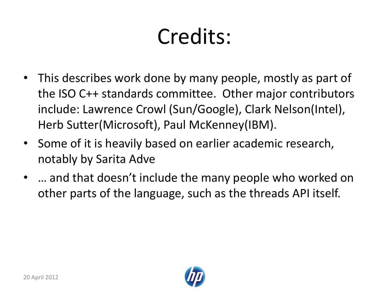# Credits:

- This describes work done by many people, mostly as part of the ISO C++ standards committee. Other major contributors include: Lawrence Crowl (Sun/Google), Clark Nelson(Intel), Herb Sutter(Microsoft), Paul McKenney(IBM).
- Some of it is heavily based on earlier academic research, notably by Sarita Adve
- … and that doesn't include the many people who worked on other parts of the language, such as the threads API itself.

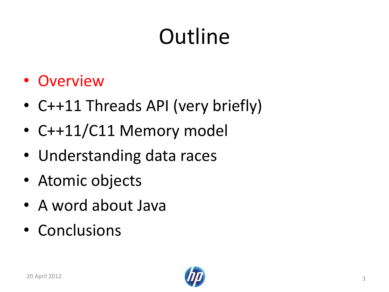# **Outline**

- Overview
- C++11 Threads API (very briefly)
- C++11/C11 Memory model
- Understanding data races
- Atomic objects
- A word about Java
- Conclusions

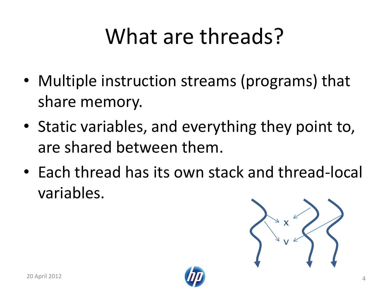# What are threads?

- Multiple instruction streams (programs) that share memory.
- Static variables, and everything they point to, are shared between them.
- Each thread has its own stack and thread-local variables.

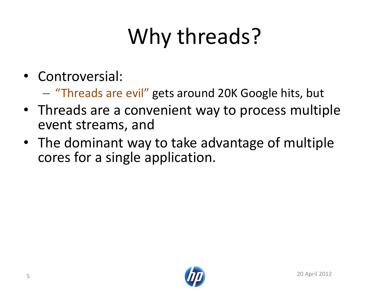# Why threads?

- Controversial:
	- "Threads are evil" gets around 20K Google hits, but
- Threads are a convenient way to process multiple event streams, and
- The dominant way to take advantage of multiple cores for a single application.

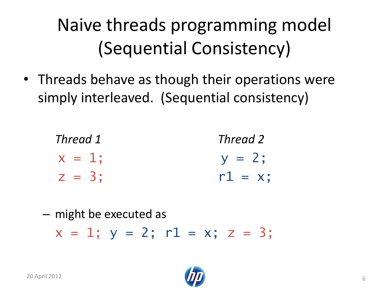### Naive threads programming model (Sequential Consistency)

• Threads behave as though their operations were simply interleaved. (Sequential consistency)

| Thread 1  | Thread 2   |
|-----------|------------|
| $x = 1$ ; | $y = 2$ ;  |
| $Z = 3$ ; | $r1 = x$ ; |

– might be executed as  $x = 1$ ;  $y = 2$ ;  $r1 = x$ ;  $z = 3$ ;

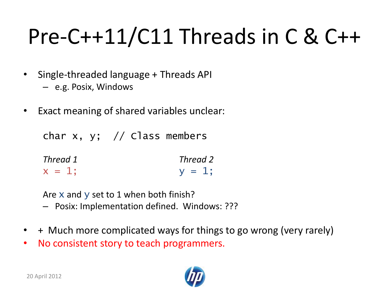# Pre-C++11/C11 Threads in C & C++

- Single-threaded language + Threads API
	- e.g. Posix, Windows
- Exact meaning of shared variables unclear:

char x, y; // Class members

| Thread 1  | Thread 2  |
|-----------|-----------|
| $x = 1$ ; | $y = 1$ ; |

Are x and y set to 1 when both finish?

- Posix: Implementation defined. Windows: ???
- + Much more complicated ways for things to go wrong (very rarely)
- No consistent story to teach programmers.

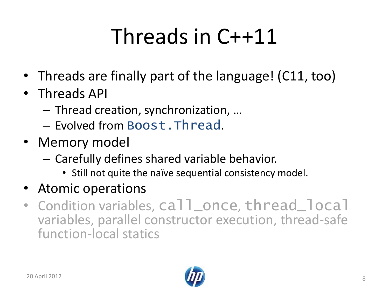# Threads in C++11

- Threads are finally part of the language! (C11, too)
- Threads API
	- Thread creation, synchronization, …
	- Evolved from Boost.Thread.
- Memory model
	- Carefully defines shared variable behavior.
		- Still not quite the naïve sequential consistency model.
- Atomic operations
- Condition variables, call\_once, thread\_local variables, parallel constructor execution, thread-safe function-local statics

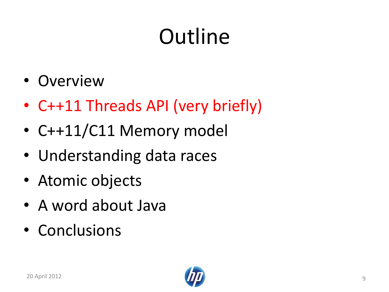# **Outline**

- Overview
- C++11 Threads API (very briefly)
- C++11/C11 Memory model
- Understanding data races
- Atomic objects
- A word about Java
- Conclusions

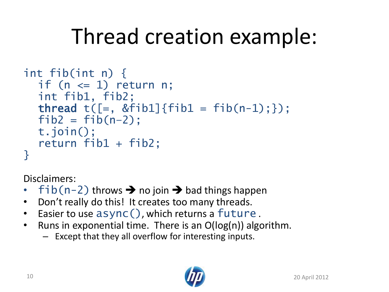# Thread creation example:

```
int fib(int n) {
  if (n \leq 1) return n;
  int fib1, fib2;
  thread t([-, & \text{fib1}] { \text{fib1} = \text{fib(n-1)}; \} );
  fib2 = fib(n-2);t.join();
  return fib1 + fib2;
}
```
Disclaimers:

- fib(n-2) throws  $\rightarrow$  no join  $\rightarrow$  bad things happen
- Don't really do this! It creates too many threads.
- Easier to use async(), which returns a future .
- Runs in exponential time. There is an O(log(n)) algorithm.
	- Except that they all overflow for interesting inputs.

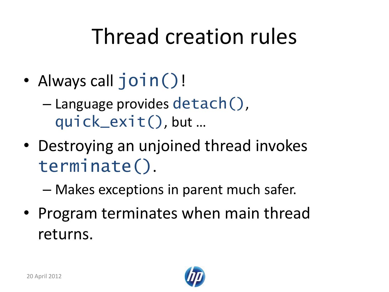### Thread creation rules

• Always call join()!

– Language provides detach(), quick\_exit(), but …

• Destroying an unjoined thread invokes terminate().

– Makes exceptions in parent much safer.

• Program terminates when main thread returns.

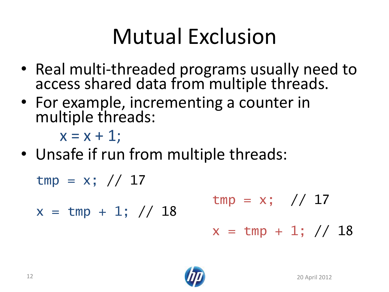# Mutual Exclusion

- Real multi-threaded programs usually need to access shared data from multiple threads.
- For example, incrementing a counter in multiple threads:

 $x = x + 1$ ;

• Unsafe if run from multiple threads:

 $tmp = x; // 17$ 

 $x = \text{tmp} + 1; // 18$ 

$$
\text{tmp} = x; \quad \text{/} \quad \text{/} \quad 17
$$
\n
$$
x = \text{tmp} + 1; \quad \text{/} \quad \text{/} \quad 18
$$

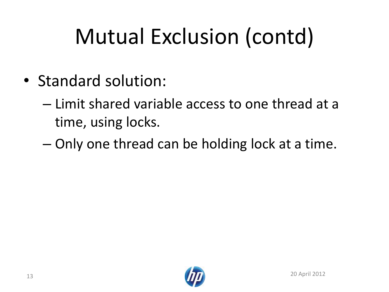# Mutual Exclusion (contd)

- Standard solution:
	- Limit shared variable access to one thread at a time, using locks.
	- Only one thread can be holding lock at a time.

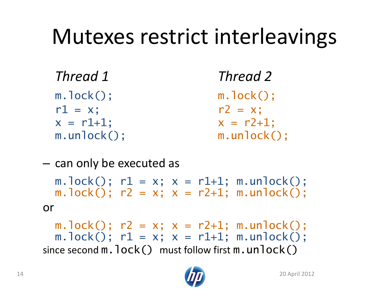### Mutexes restrict interleavings

| Thread 1           | Thread 2           |  |
|--------------------|--------------------|--|
| $m.$ $lock()$ ;    | $m.$ lock();       |  |
| $r1 = x$ ;         | $r2 = x$ ;         |  |
| $x = r1+1$ ;       | $x = r2 + 1$ :     |  |
| $m.$ un $lock()$ ; | $m.$ un $lock()$ ; |  |

– can only be executed as

m.lock();  $r1 = x$ ;  $x = r1+1$ ; m.unlock();  $m.lock()$ ;  $r2 = x$ ;  $x = r2+1$ ;  $m.unlock()$ ; or

m.lock();  $r2 = x$ ;  $x = r2+1$ ; m.unlock();  $m.lock()$ ;  $r1 = x$ ;  $x = r1+1$ ;  $m.unlock()$ ; since second  $m$ .  $lock()$  must follow first  $m$ .  $unlock()$ 

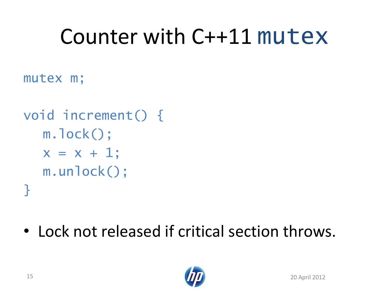# Counter with C++11 mutex

mutex m;

```
void increment() {
  m.lock();
  x = x + 1;m.unlock();
}
```
• Lock not released if critical section throws.

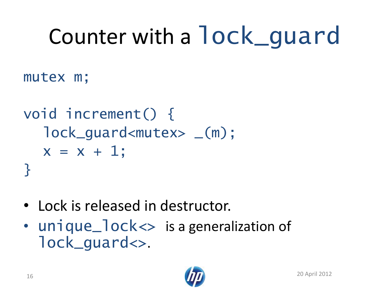# Counter with a lock\_guard

mutex m;

```
void increment() {
  lock_guard<mutex> _(m);
  x = x + 1;}
```
- Lock is released in destructor.
- unique\_lock <> is a generalization of lock\_guard<>.

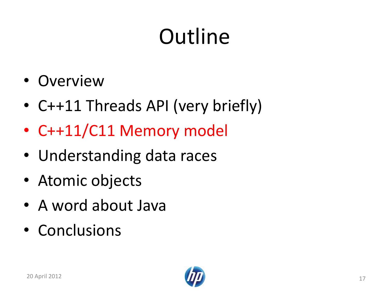# **Outline**

- Overview
- C++11 Threads API (very briefly)
- C++11/C11 Memory model
- Understanding data races
- Atomic objects
- A word about Java
- Conclusions

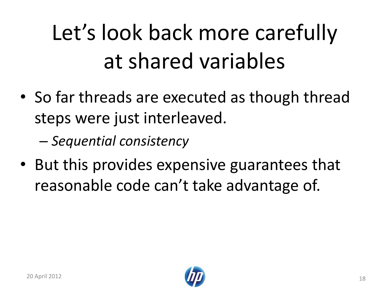# Let's look back more carefully at shared variables

• So far threads are executed as though thread steps were just interleaved.

– *Sequential consistency*

• But this provides expensive guarantees that reasonable code can't take advantage of.

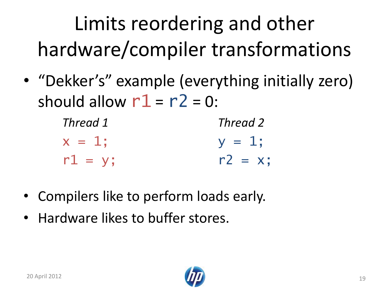# Limits reordering and other hardware/compiler transformations

• "Dekker's" example (everything initially zero) should allow  $r1 = r2 = 0$ :

| Thread 1  | Thread 2   |
|-----------|------------|
| $x = 1$ : | $y = 1$ :  |
| $r1 = y;$ | $r2 = x$ ; |

- Compilers like to perform loads early.
- Hardware likes to buffer stores.

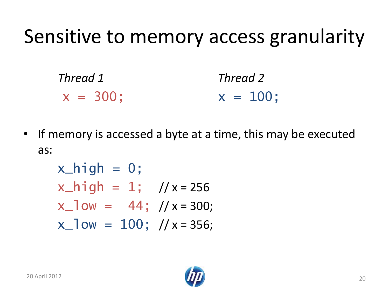### Sensitive to memory access granularity



• If memory is accessed a byte at a time, this may be executed as:

$$
x_{high} = 0;
$$
  
\n $x_{high} = 1;$  // x = 256  
\n $x_{low} = 44;$  // x = 300;  
\n $x_{low} = 100;$  // x = 356;

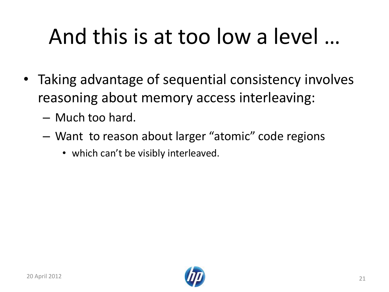# And this is at too low a level …

- Taking advantage of sequential consistency involves reasoning about memory access interleaving:
	- Much too hard.
	- Want to reason about larger "atomic" code regions
		- which can't be visibly interleaved.

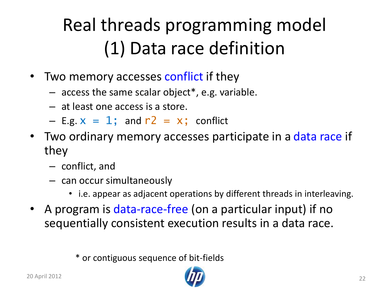### Real threads programming model (1) Data race definition

- Two memory accesses conflict if they
	- $-$  access the same scalar object\*, e.g. variable.
	- at least one access is a store.
	- $-$  E.g.  $x = 1$ ; and  $r2 = x$ ; conflict
- Two ordinary memory accesses participate in a data race if they
	- conflict, and
	- can occur simultaneously
		- i.e. appear as adjacent operations by different threads in interleaving.
- A program is data-race-free (on a particular input) if no sequentially consistent execution results in a data race.

\* or contiguous sequence of bit-fields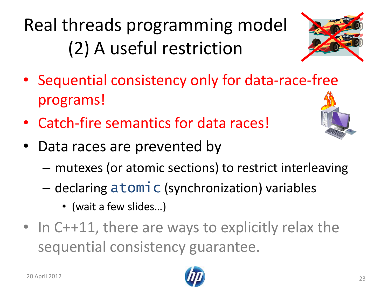### Real threads programming model (2) A useful restriction



- Sequential consistency only for data-race-free programs!
- Catch-fire semantics for data races!
- Data races are prevented by
	- mutexes (or atomic sections) to restrict interleaving
	- declaring atomic (synchronization) variables
		- (wait a few slides…)
- In C++11, there are ways to explicitly relax the sequential consistency guarantee.



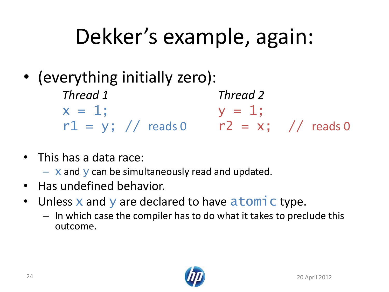# Dekker's example, again:

• (everything initially zero):

*Thread 1 Thread 2*  $x = 1;$   $y = 1;$  $r1 = y$ ; // reads 0  $r2 = x$ ; // reads 0

- This has a data race:
	- $-$  x and y can be simultaneously read and updated.
- Has undefined behavior.
- Unless **x** and **y** are declared to have atomic type.
	- In which case the compiler has to do what it takes to preclude this outcome.

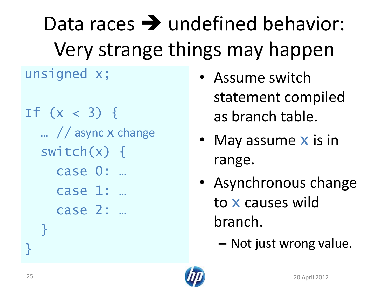Data races  $\rightarrow$  undefined behavior: Very strange things may happen

unsigned x;

If  $(x < 3)$  { … // async x change switch $(x)$  { case 0: … case 1: … case 2: … }

- Assume switch statement compiled as branch table.
- May assume **x** is in range.
- Asynchronous change to x causes wild branch.
	- Not just wrong value.



<u>}</u>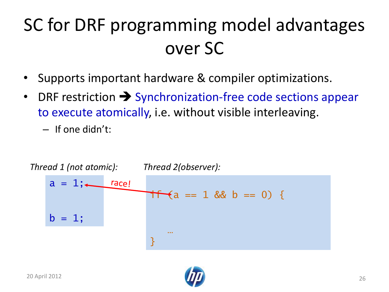### SC for DRF programming model advantages over SC

- Supports important hardware & compiler optimizations.
- DRF restriction  $\rightarrow$  Synchronization-free code sections appear to execute atomically, i.e. without visible interleaving.
	- If one didn't:



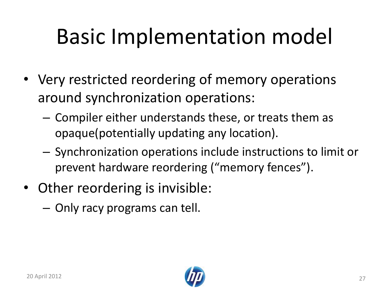# Basic Implementation model

- Very restricted reordering of memory operations around synchronization operations:
	- Compiler either understands these, or treats them as opaque(potentially updating any location).
	- Synchronization operations include instructions to limit or prevent hardware reordering ("memory fences").
- Other reordering is invisible:
	- Only racy programs can tell.

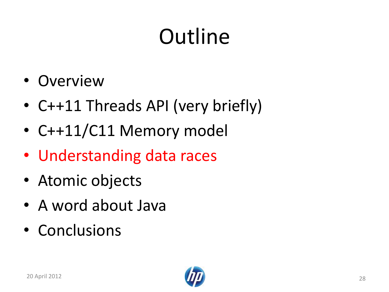# **Outline**

- Overview
- C++11 Threads API (very briefly)
- C++11/C11 Memory model
- Understanding data races
- Atomic objects
- A word about Java
- Conclusions

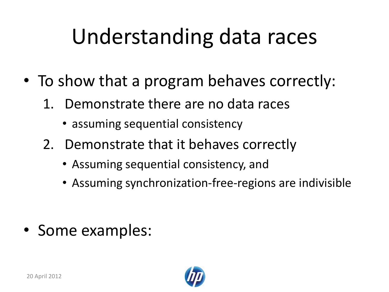# Understanding data races

- To show that a program behaves correctly:
	- 1. Demonstrate there are no data races
		- assuming sequential consistency
	- 2. Demonstrate that it behaves correctly
		- Assuming sequential consistency, and
		- Assuming synchronization-free-regions are indivisible

• Some examples:

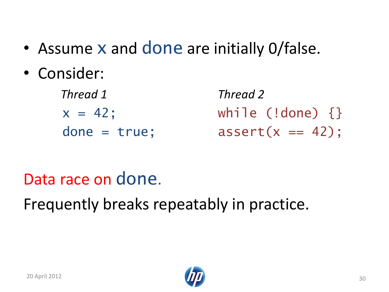- Assume x and done are initially O/false.
- Consider:

 *Thread 1 Thread 2*  $x = 42$ ; while (!done) {} done = true;  $assert(x == 42)$ ;

#### Data race on done.

Frequently breaks repeatably in practice.

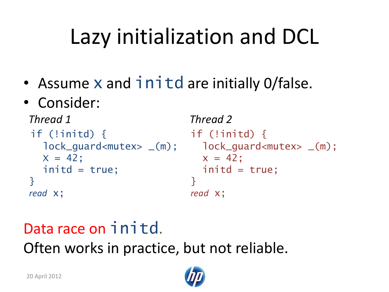# Lazy initialization and DCL

- Assume x and initd are initially O/false.
- Consider:

```
Thread 1 Thread 2
if (!initd) { if (!initd) { 
 lock_guard<mutex> _(m); lock_guard<mutex> _(m);
 x = 42; x = 42;
 initd = true; initd = true;
} }
read x; read x;
```
#### Data race on initd. Often works in practice, but not reliable.

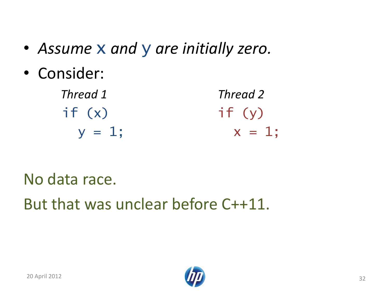- *Assume* x *and* y *are initially zero.*
- Consider:

| Thread 1  | Thread 2  |
|-----------|-----------|
| if(x)     | if (y)    |
| $y = 1$ ; | $x = 1$ ; |

No data race.

But that was unclear before C++11.

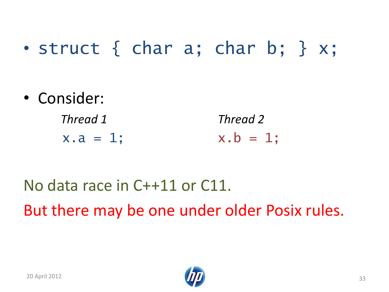#### • struct { char a; char b; } x;

- Consider:
	- *Thread 1 Thread 2*  $x.a = 1;$   $x.b = 1;$

No data race in C++11 or C11. But there may be one under older Posix rules.

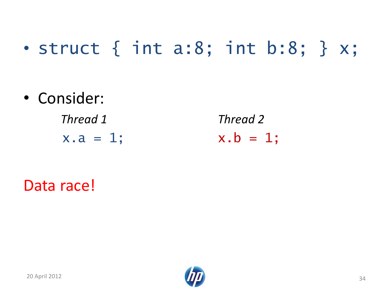### • struct { int a:8; int b:8; }  $x$ ;

• Consider:

 *Thread 1 Thread 2*  $x.a = 1;$   $x.b = 1;$ 

Data race!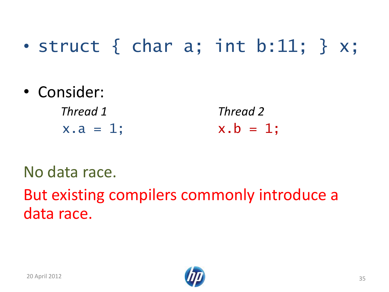#### • struct  $\{$  char  $a$ ; int  $b:11$ ;  $\}$   $x$ ;

• Consider:

 *Thread 1 Thread 2*  $x.a = 1;$   $x.b = 1;$ 

#### No data race.

But existing compilers commonly introduce a data race.



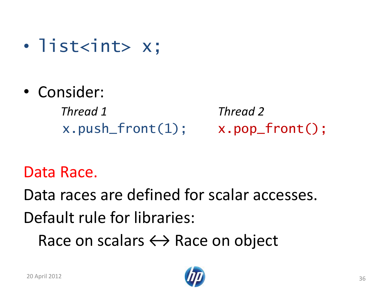- list<int> x;
- Consider:

 *Thread 1 Thread 2*  $x.push_front(1);$   $x.pop_front();$ 

#### Data Race.

Data races are defined for scalar accesses. Default rule for libraries:

Race on scalars  $\leftrightarrow$  Race on object

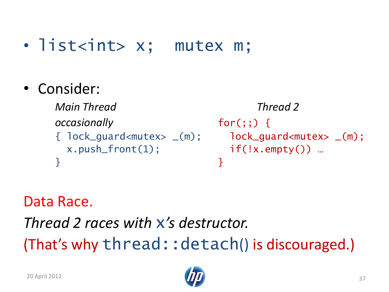#### • list<int> x; mutex m;

• Consider:

```
Main Thread Thread 2
occasionally for(;;) {
{ lock\_guard <sub>m</sub> <sub>l</sub> <sub>m</sub> <sub>l</sub> <sub>m</sub> <sub>l</sub> <sub>m</sub> <sub>m</sub> <sub>m</sub> <sub>m</sub> <sub>m</sub> <sub>m</sub> <sub>m</sub> <sub>m</sub> <sub>m</sub> <sub>m</sub> <sub>m</sub> <sub>m</sub> <sub>m</sub> <sub>m</sub> <sub>m</sub> <sub>m</sub> <sub>m</sub> <sub</sub></sub></sub></sub></sub></sub></sub></sub></sub></sub></sub></sub></sub></sub></sub></sub></sub></sub></sub></sub></sub></sub></sub></sub>
      x.push_front(1); if(!x.empty()) …
} }
```
Data Race.

*Thread 2 races with* x*'s destructor.* (That's why thread:: detach() is discouraged.)

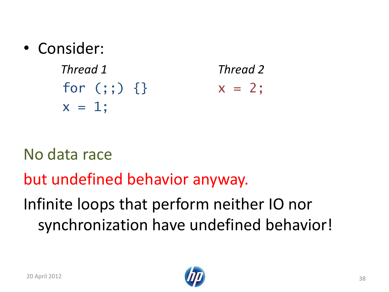• Consider:

 *Thread 1 Thread 2* for  $(j; j)$  {}  $x = 2;$  $x = 1;$ 

No data race

but undefined behavior anyway.

Infinite loops that perform neither IO nor synchronization have undefined behavior!

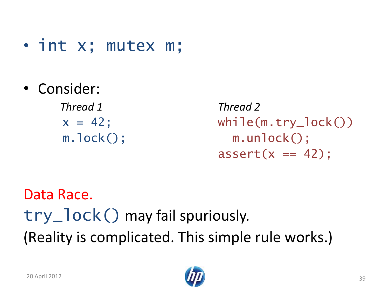- int x; mutex m;
- Consider:

 *Thread 1 Thread 2*

 $x = 42$ ; while(m.try\_lock()) m.lock(); m.unlock();  $assert(x == 42)$ ;

Data Race. try\_lock() may fail spuriously. (Reality is complicated. This simple rule works.)

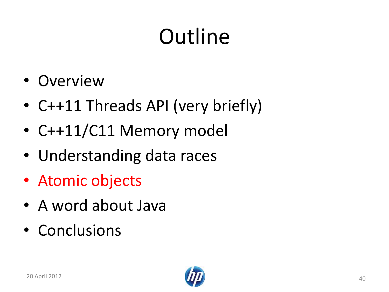# **Outline**

- Overview
- C++11 Threads API (very briefly)
- C++11/C11 Memory model
- Understanding data races
- Atomic objects
- A word about Java
- Conclusions

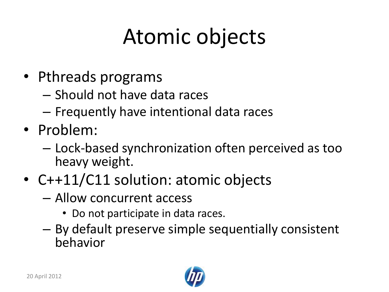# Atomic objects

- Pthreads programs
	- Should not have data races
	- Frequently have intentional data races
- Problem:
	- Lock-based synchronization often perceived as too heavy weight.
- C++11/C11 solution: atomic objects
	- Allow concurrent access
		- Do not participate in data races.
	- By default preserve simple sequentially consistent behavior

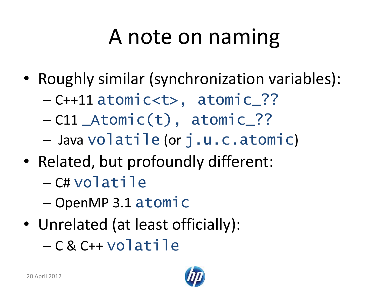# A note on naming

- Roughly similar (synchronization variables):
	- C++11 atomic<t>, atomic\_??
	- C11 \_Atomic(t), atomic\_??
	- Java volatile (or j.u.c.atomic)
- Related, but profoundly different:
	- C# volatile
	- OpenMP 3.1 atomic
- Unrelated (at least officially):
	- C & C++ volatile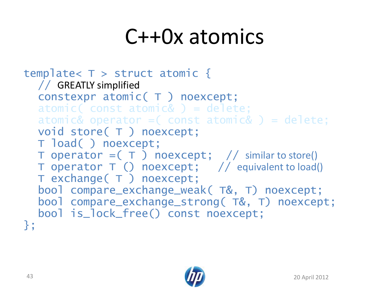### C++0x atomics

```
template< T > struct atomic {
  // GREATLY simplified
  constexpr atomic( T ) noexcept;
  atomic(const atomick) = delete;atomic& operator = \text{const} atomic& \text{ ) } = delete;
  void store( T ) noexcept;
  T load( ) noexcept;
  T operator =(T) noexcept; // similar to store()
  T operator T () noexcept; // equivalent to load()
  T exchange( T ) noexcept;
  bool compare_exchange_weak( T&, T) noexcept;
  bool compare_exchange_strong( T&, T) noexcept; 
  bool is_lock_free() const noexcept;
};
```
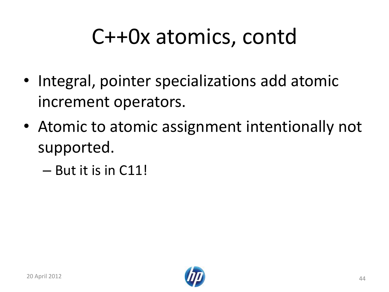# C++0x atomics, contd

- Integral, pointer specializations add atomic increment operators.
- Atomic to atomic assignment intentionally not supported.
	- But it is in C11!

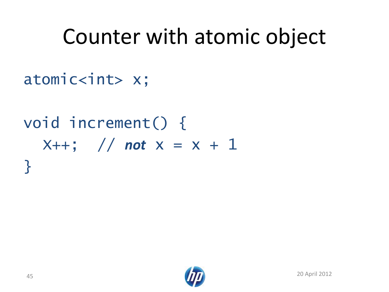### Counter with atomic object

#### atomic<int> x;

### void increment() {  $X++$ ; // *not*  $X = X + 1$ }

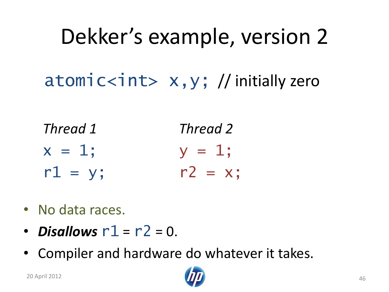# Dekker's example, version 2 atomic $\langle$ int> x,y; // initially zero

- *Thread 1 Thread 2*  $x = 1;$   $y = 1;$  $r1 = y;$   $r2 = x;$
- No data races.
- *Disallows*  $r1 = r2 = 0$ .
- Compiler and hardware do whatever it takes.

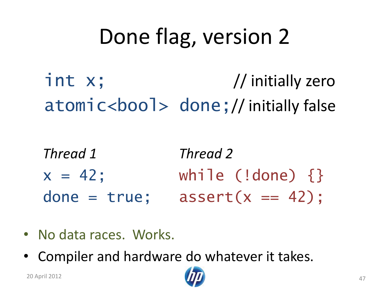# Done flag, version 2

 int x; // initially zero atomic<bool> done; // initially false

- *Thread 1 Thread 2*  $x = 42;$  while (!done) {} done = true;  $assert(x == 42)$ ;
- No data races. Works.
- Compiler and hardware do whatever it takes.

20 April 2012 47

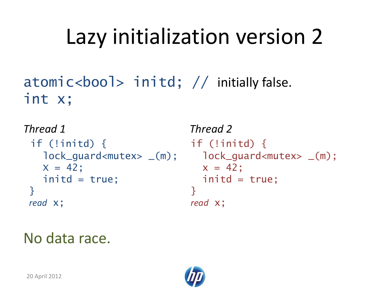# Lazy initialization version 2

#### atomic<bool> initd; // initially false. int x;

```
Thread 1 Thread 2
if (!initd) { if (!initd) { 
 X = 42; X = 42;
 initd = true; initd = true;
} }
read x; read x;
```

```
lock_guard<mutex> _(m); lock_guard<mutex> _(m);
```
#### No data race.

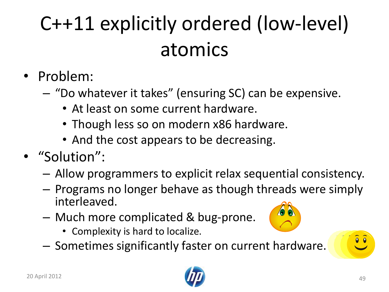## C++11 explicitly ordered (low-level) atomics

- Problem:
	- "Do whatever it takes" (ensuring SC) can be expensive.
		- At least on some current hardware.
		- Though less so on modern x86 hardware.
		- And the cost appears to be decreasing.
- "Solution":
	- Allow programmers to explicit relax sequential consistency.
	- Programs no longer behave as though threads were simply interleaved.
	- Much more complicated & bug-prone.
		- Complexity is hard to localize.
	- Sometimes significantly faster on current hardware.

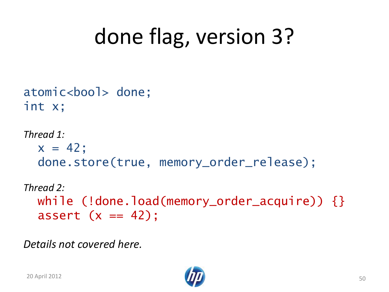# done flag, version 3?

```
atomic<bool> done;
int x;
```

```
Thread 1:
  x = 42;
   done.store(true, memory_order_release);
```

```
Thread 2:
 while (!done.load(memory_order_acquire)) {}
  assert (x == 42);
```
*Details not covered here.*

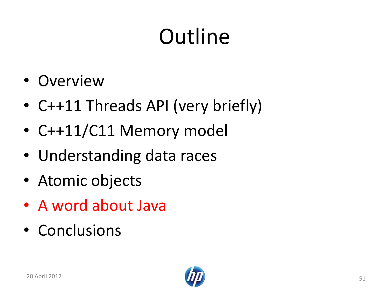# **Outline**

- Overview
- C++11 Threads API (very briefly)
- C++11/C11 Memory model
- Understanding data races
- Atomic objects
- A word about Java
- Conclusions

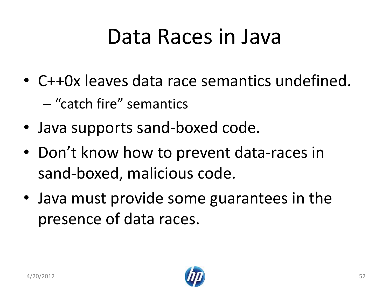### Data Races in Java

- C++0x leaves data race semantics undefined. – "catch fire" semantics
- Java supports sand-boxed code.
- Don't know how to prevent data-races in sand-boxed, malicious code.
- Java must provide some guarantees in the presence of data races.

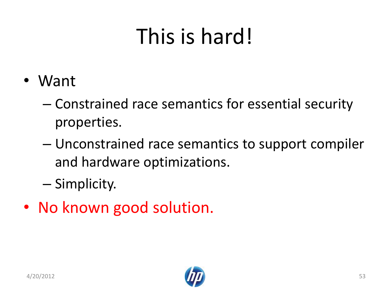# This is hard!

- Want
	- Constrained race semantics for essential security properties.
	- Unconstrained race semantics to support compiler and hardware optimizations.
	- Simplicity.
- No known good solution.

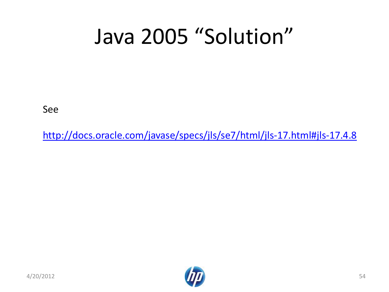## Java 2005 "Solution"

See

[http://docs.oracle.com/javase/specs/jls/se7/html/jls-17.html#jls-17.4.8](http://docs.oracle.com/javase/specs/jls/se7/html/jls-17.html)



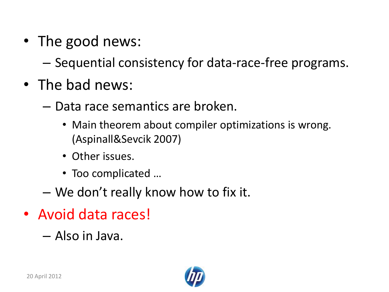• The good news:

– Sequential consistency for data-race-free programs.

- The bad news:
	- Data race semantics are broken.
		- Main theorem about compiler optimizations is wrong. (Aspinall&Sevcik 2007)
		- Other issues.
		- Too complicated …
	- We don't really know how to fix it.
- Avoid data races!

– Also in Java.

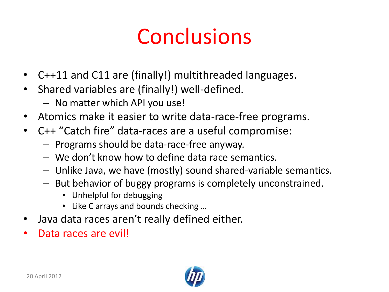### Conclusions

- C++11 and C11 are (finally!) multithreaded languages.
- Shared variables are (finally!) well-defined.
	- No matter which API you use!
- Atomics make it easier to write data-race-free programs.
- C++ "Catch fire" data-races are a useful compromise:
	- Programs should be data-race-free anyway.
	- We don't know how to define data race semantics.
	- Unlike Java, we have (mostly) sound shared-variable semantics.
	- But behavior of buggy programs is completely unconstrained.
		- Unhelpful for debugging
		- Like C arrays and bounds checking …
- Java data races aren't really defined either.
- Data races are evil!

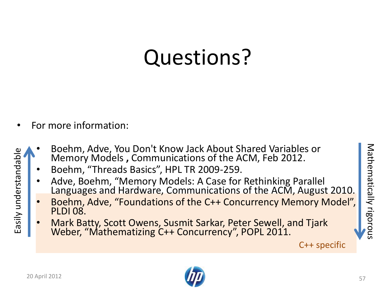### Questions?

- For more information:
	- Boehm, Adve, You Don't Know Jack About Shared Variables or Memory Models **,** Communications of the ACM, Feb 2012.
		- Boehm, "Threads Basics", HPL TR 2009-259.
		- Adve, Boehm, "Memory Models: A Case for Rethinking Parallel Languages and Hardware, Communications of the ACM, August 2010.
		- Boehm, Adve, "Foundations of the C++ Concurrency Memory Model", PLDI 08.
		- Mark Batty, Scott Owens, Susmit Sarkar, Peter Sewell, and Tjark Weber, "Mathematizing C++ Concurrency", POPL 2011.



Easily understandable

Easily understandable

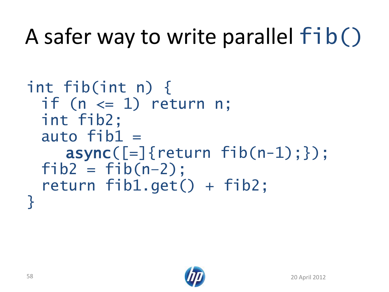# A safer way to write parallel fib()

```
int fib(int n) {
 if (n \leq 1) return n;
 int fib2;
 auto fib1 =async([=]{\text{return }fib(n-1);});
 fib2 = fib(n-2):
 return fib1.get() + fib2;}
```
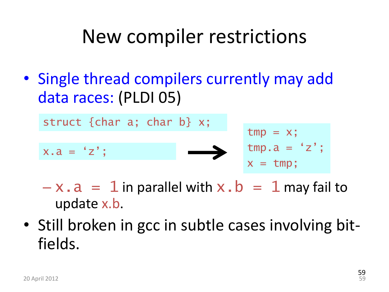### New compiler restrictions

• Single thread compilers currently may add data races: (PLDI 05)



- $-x.a = 1$  in parallel with  $x.b = 1$  may fail to update x.b.
- Still broken in gcc in subtle cases involving bitfields.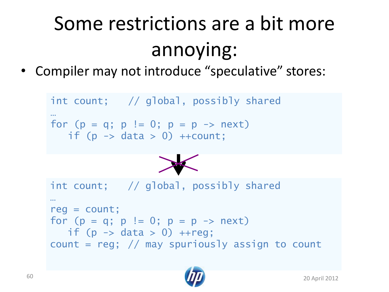# Some restrictions are a bit more annoying:

• Compiler may not introduce "speculative" stores:

```
int count; // global, possibly shared
…
for (p = q; p := 0; p = p \rightarrow next)if (p \rightarrow data > 0) ++count;
int count; // global, possibly shared
…
reg = count;
for (p = q; p := 0; p = p \rightarrow next)if (p \rightarrow data > 0) ++reg;
count = reg; // may spuriously assign to count
```
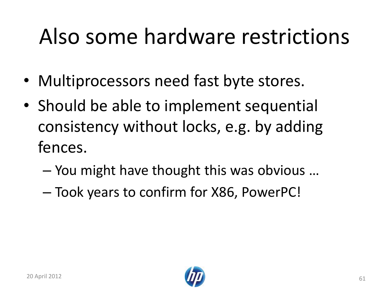## Also some hardware restrictions

- Multiprocessors need fast byte stores.
- Should be able to implement sequential consistency without locks, e.g. by adding fences.
	- You might have thought this was obvious …
	- Took years to confirm for X86, PowerPC!



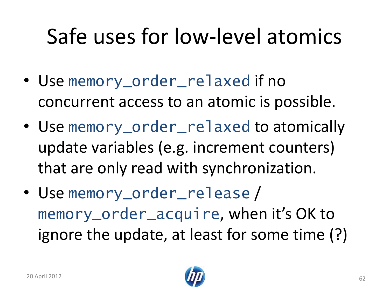# Safe uses for low-level atomics

- Use memory\_order\_relaxed if no concurrent access to an atomic is possible.
- Use memory\_order\_relaxed to atomically update variables (e.g. increment counters) that are only read with synchronization.
- Use memory\_order\_release / memory\_order\_acquire, when it's OK to ignore the update, at least for some time (?)